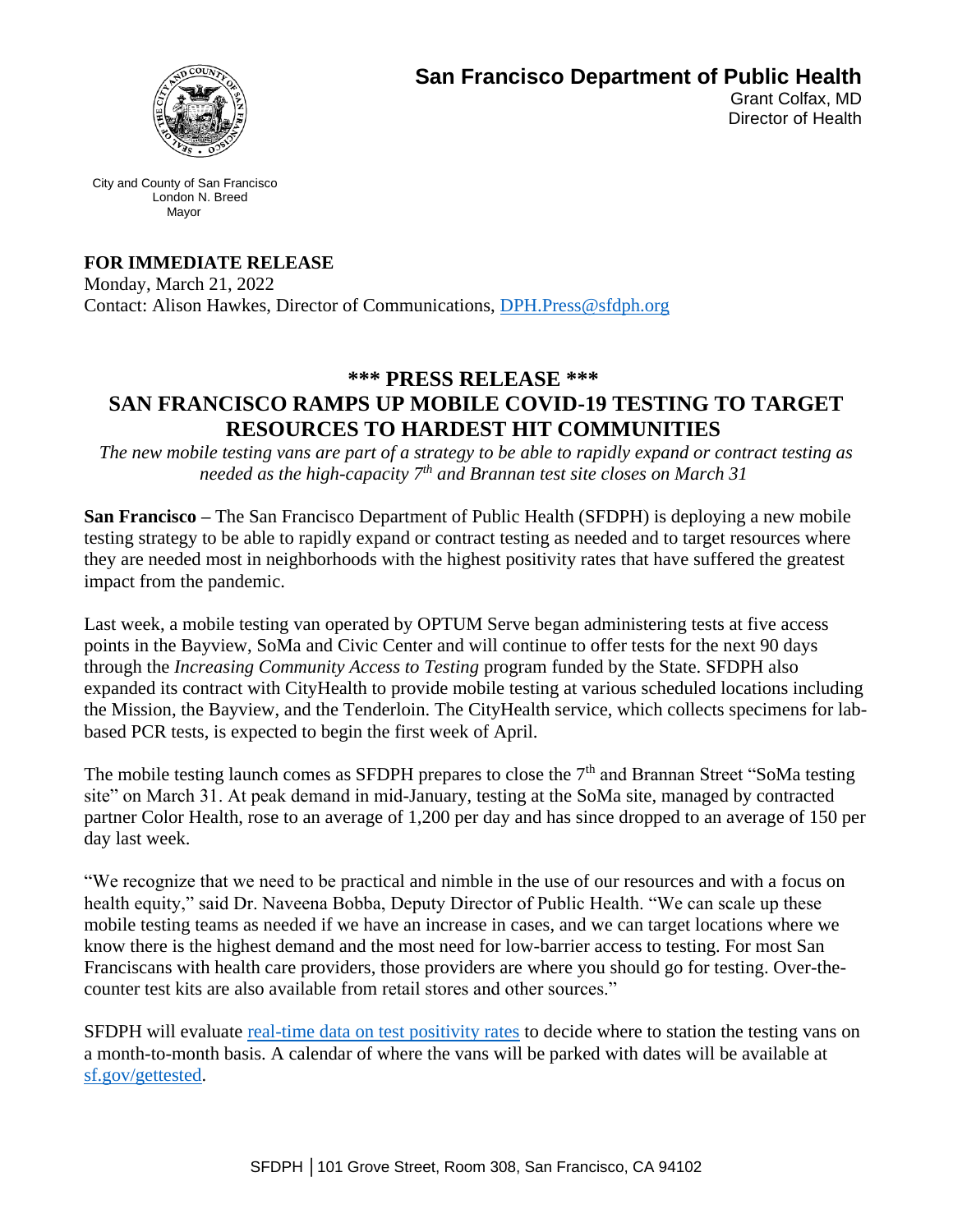

**San Francisco Department of Public Health** 

Grant Colfax, MD Director of Health

City and County of San Francisco London N. Breed Mayor

**FOR IMMEDIATE RELEASE**

Monday, March 21, 2022 Contact: Alison Hawkes, Director of Communications, [DPH.Press@sfdph.org](mailto:DPH.Press@sfdph.org)

## **\*\*\* PRESS RELEASE \*\*\***

## **SAN FRANCISCO RAMPS UP MOBILE COVID-19 TESTING TO TARGET RESOURCES TO HARDEST HIT COMMUNITIES**

*The new mobile testing vans are part of a strategy to be able to rapidly expand or contract testing as needed as the high-capacity 7 th and Brannan test site closes on March 31*

**San Francisco –** The San Francisco Department of Public Health (SFDPH) is deploying a new mobile testing strategy to be able to rapidly expand or contract testing as needed and to target resources where they are needed most in neighborhoods with the highest positivity rates that have suffered the greatest impact from the pandemic.

Last week, a mobile testing van operated by OPTUM Serve began administering tests at five access points in the Bayview, SoMa and Civic Center and will continue to offer tests for the next 90 days through the *Increasing Community Access to Testing* program funded by the State. SFDPH also expanded its contract with CityHealth to provide mobile testing at various scheduled locations including the Mission, the Bayview, and the Tenderloin. The CityHealth service, which collects specimens for labbased PCR tests, is expected to begin the first week of April.

The mobile testing launch comes as SFDPH prepares to close the 7<sup>th</sup> and Brannan Street "SoMa testing site" on March 31. At peak demand in mid-January, testing at the SoMa site, managed by contracted partner Color Health, rose to an average of 1,200 per day and has since dropped to an average of 150 per day last week.

"We recognize that we need to be practical and nimble in the use of our resources and with a focus on health equity," said Dr. Naveena Bobba, Deputy Director of Public Health. "We can scale up these mobile testing teams as needed if we have an increase in cases, and we can target locations where we know there is the highest demand and the most need for low-barrier access to testing. For most San Franciscans with health care providers, those providers are where you should go for testing. Over-thecounter test kits are also available from retail stores and other sources."

SFDPH will evaluate [real-time data on test positivity rates](https://sf.gov/data/covid-19-testing-overview) to decide where to station the testing vans on a month-to-month basis. A calendar of where the vans will be parked with dates will be available at [sf.gov/gettested.](https://sf.gov/find-out-about-your-covid-19-testing-options)